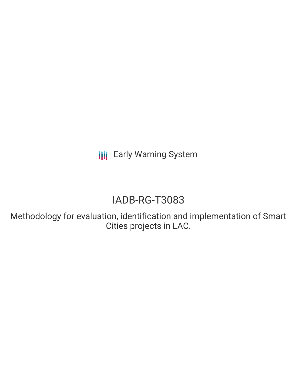**III** Early Warning System

# IADB-RG-T3083

Methodology for evaluation, identification and implementation of Smart Cities projects in LAC.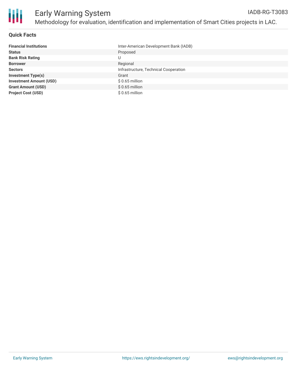

## **Quick Facts**

| <b>Financial Institutions</b>  | Inter-American Development Bank (IADB) |
|--------------------------------|----------------------------------------|
| <b>Status</b>                  | Proposed                               |
| <b>Bank Risk Rating</b>        | U                                      |
| <b>Borrower</b>                | Regional                               |
| <b>Sectors</b>                 | Infrastructure, Technical Cooperation  |
| <b>Investment Type(s)</b>      | Grant                                  |
| <b>Investment Amount (USD)</b> | $$0.65$ million                        |
| <b>Grant Amount (USD)</b>      | $$0.65$ million                        |
| <b>Project Cost (USD)</b>      | $$0.65$ million                        |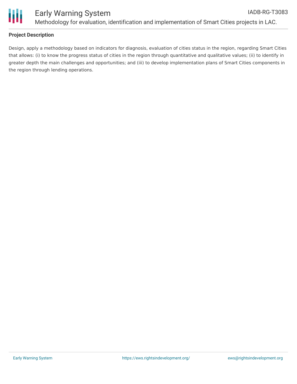

# **Project Description**

Design, apply a methodology based on indicators for diagnosis, evaluation of cities status in the region, regarding Smart Cities that allows: (i) to know the progress status of cities in the region through quantitative and qualitative values; (ii) to identify in greater depth the main challenges and opportunities; and (iii) to develop implementation plans of Smart Cities components in the region through lending operations.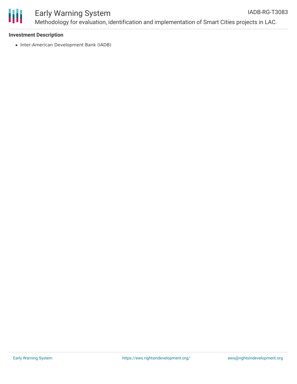

#### Early Warning System Methodology for evaluation, identification and implementation of Smart Cities projects in LAC. IADB-RG-T3083

#### **Investment Description**

• Inter-American Development Bank (IADB)